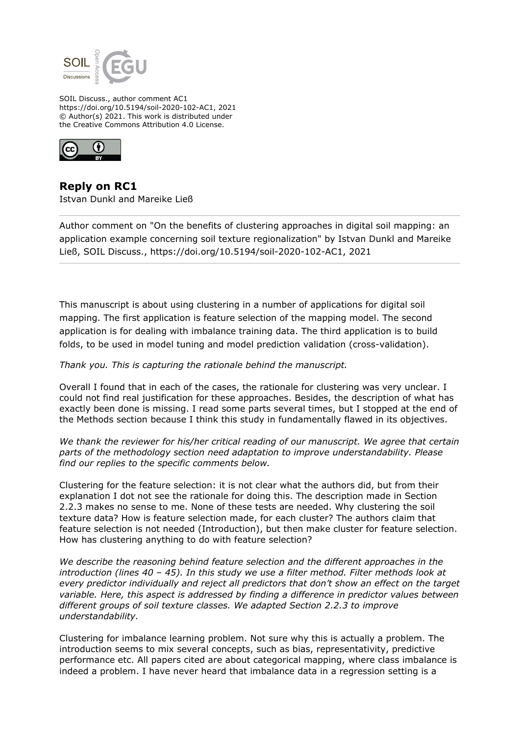

SOIL Discuss., author comment AC1 https://doi.org/10.5194/soil-2020-102-AC1, 2021 © Author(s) 2021. This work is distributed under the Creative Commons Attribution 4.0 License.



**Reply on RC1** Istvan Dunkl and Mareike Ließ

Author comment on "On the benefits of clustering approaches in digital soil mapping: an application example concerning soil texture regionalization" by Istvan Dunkl and Mareike Ließ, SOIL Discuss., https://doi.org/10.5194/soil-2020-102-AC1, 2021

This manuscript is about using clustering in a number of applications for digital soil mapping. The first application is feature selection of the mapping model. The second application is for dealing with imbalance training data. The third application is to build folds, to be used in model tuning and model prediction validation (cross-validation).

*Thank you. This is capturing the rationale behind the manuscript.*

Overall I found that in each of the cases, the rationale for clustering was very unclear. I could not find real justification for these approaches. Besides, the description of what has exactly been done is missing. I read some parts several times, but I stopped at the end of the Methods section because I think this study in fundamentally flawed in its objectives.

*We thank the reviewer for his/her critical reading of our manuscript. We agree that certain parts of the methodology section need adaptation to improve understandability. Please find our replies to the specific comments below.*

Clustering for the feature selection: it is not clear what the authors did, but from their explanation I dot not see the rationale for doing this. The description made in Section 2.2.3 makes no sense to me. None of these tests are needed. Why clustering the soil texture data? How is feature selection made, for each cluster? The authors claim that feature selection is not needed (Introduction), but then make cluster for feature selection. How has clustering anything to do with feature selection?

*We describe the reasoning behind feature selection and the different approaches in the introduction (lines 40 – 45). In this study we use a filter method. Filter methods look at every predictor individually and reject all predictors that don't show an effect on the target variable. Here, this aspect is addressed by finding a difference in predictor values between different groups of soil texture classes. We adapted Section 2.2.3 to improve understandability.*

Clustering for imbalance learning problem. Not sure why this is actually a problem. The introduction seems to mix several concepts, such as bias, representativity, predictive performance etc. All papers cited are about categorical mapping, where class imbalance is indeed a problem. I have never heard that imbalance data in a regression setting is a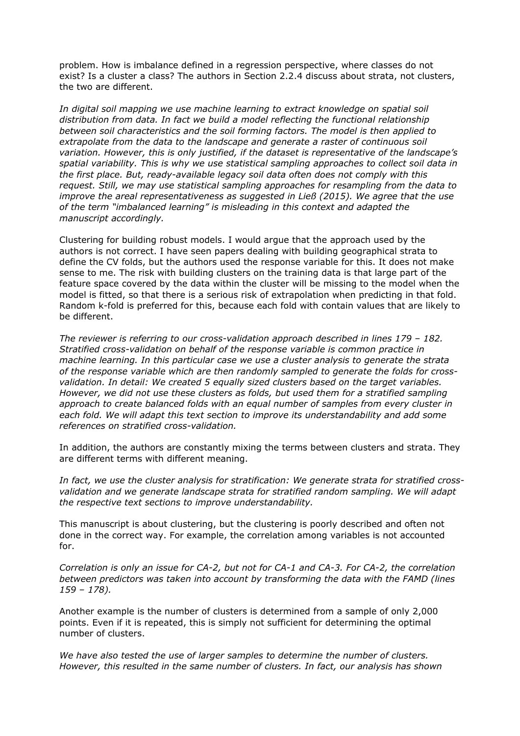problem. How is imbalance defined in a regression perspective, where classes do not exist? Is a cluster a class? The authors in Section 2.2.4 discuss about strata, not clusters, the two are different.

*In digital soil mapping we use machine learning to extract knowledge on spatial soil distribution from data. In fact we build a model reflecting the functional relationship between soil characteristics and the soil forming factors. The model is then applied to extrapolate from the data to the landscape and generate a raster of continuous soil variation. However, this is only justified, if the dataset is representative of the landscape's spatial variability. This is why we use statistical sampling approaches to collect soil data in the first place. But, ready-available legacy soil data often does not comply with this request. Still, we may use statistical sampling approaches for resampling from the data to improve the areal representativeness as suggested in Ließ (2015). We agree that the use of the term "imbalanced learning" is misleading in this context and adapted the manuscript accordingly.*

Clustering for building robust models. I would argue that the approach used by the authors is not correct. I have seen papers dealing with building geographical strata to define the CV folds, but the authors used the response variable for this. It does not make sense to me. The risk with building clusters on the training data is that large part of the feature space covered by the data within the cluster will be missing to the model when the model is fitted, so that there is a serious risk of extrapolation when predicting in that fold. Random k-fold is preferred for this, because each fold with contain values that are likely to be different.

*The reviewer is referring to our cross-validation approach described in lines 179 – 182. Stratified cross-validation on behalf of the response variable is common practice in machine learning. In this particular case we use a cluster analysis to generate the strata of the response variable which are then randomly sampled to generate the folds for crossvalidation. In detail: We created 5 equally sized clusters based on the target variables. However, we did not use these clusters as folds, but used them for a stratified sampling approach to create balanced folds with an equal number of samples from every cluster in each fold. We will adapt this text section to improve its understandability and add some references on stratified cross-validation.*

In addition, the authors are constantly mixing the terms between clusters and strata. They are different terms with different meaning.

*In fact, we use the cluster analysis for stratification: We generate strata for stratified crossvalidation and we generate landscape strata for stratified random sampling. We will adapt the respective text sections to improve understandability.*

This manuscript is about clustering, but the clustering is poorly described and often not done in the correct way. For example, the correlation among variables is not accounted for.

*Correlation is only an issue for CA-2, but not for CA-1 and CA-3. For CA-2, the correlation between predictors was taken into account by transforming the data with the FAMD (lines 159 – 178).*

Another example is the number of clusters is determined from a sample of only 2,000 points. Even if it is repeated, this is simply not sufficient for determining the optimal number of clusters.

*We have also tested the use of larger samples to determine the number of clusters. However, this resulted in the same number of clusters. In fact, our analysis has shown*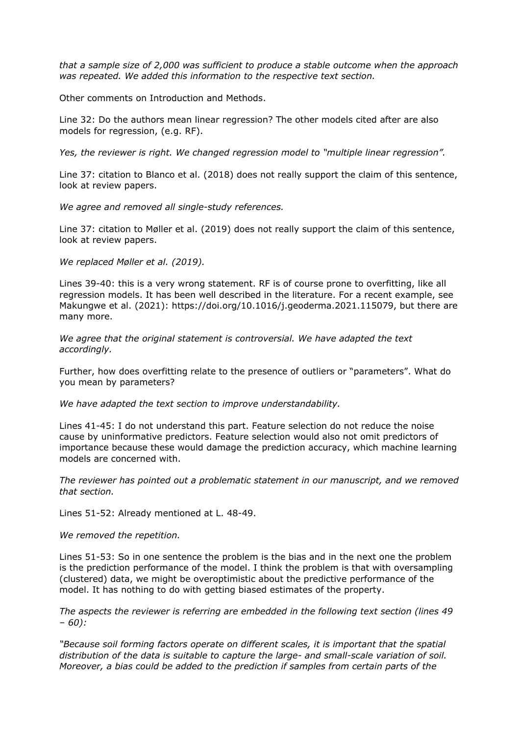*that a sample size of 2,000 was sufficient to produce a stable outcome when the approach was repeated. We added this information to the respective text section.*

Other comments on Introduction and Methods.

Line 32: Do the authors mean linear regression? The other models cited after are also models for regression, (e.g. RF).

*Yes, the reviewer is right. We changed regression model to "multiple linear regression".*

Line 37: citation to Blanco et al. (2018) does not really support the claim of this sentence, look at review papers.

*We agree and removed all single-study references.*

Line 37: citation to Møller et al. (2019) does not really support the claim of this sentence, look at review papers.

*We replaced Møller et al. (2019).*

Lines 39-40: this is a very wrong statement. RF is of course prone to overfitting, like all regression models. It has been well described in the literature. For a recent example, see Makungwe et al. (2021): https://doi.org/10.1016/j.geoderma.2021.115079, but there are many more.

*We agree that the original statement is controversial. We have adapted the text accordingly.*

Further, how does overfitting relate to the presence of outliers or "parameters". What do you mean by parameters?

*We have adapted the text section to improve understandability.*

Lines 41-45: I do not understand this part. Feature selection do not reduce the noise cause by uninformative predictors. Feature selection would also not omit predictors of importance because these would damage the prediction accuracy, which machine learning models are concerned with.

*The reviewer has pointed out a problematic statement in our manuscript, and we removed that section.*

Lines 51-52: Already mentioned at L. 48-49.

*We removed the repetition.*

Lines 51-53: So in one sentence the problem is the bias and in the next one the problem is the prediction performance of the model. I think the problem is that with oversampling (clustered) data, we might be overoptimistic about the predictive performance of the model. It has nothing to do with getting biased estimates of the property.

*The aspects the reviewer is referring are embedded in the following text section (lines 49 – 60):*

*"Because soil forming factors operate on different scales, it is important that the spatial distribution of the data is suitable to capture the large- and small-scale variation of soil. Moreover, a bias could be added to the prediction if samples from certain parts of the*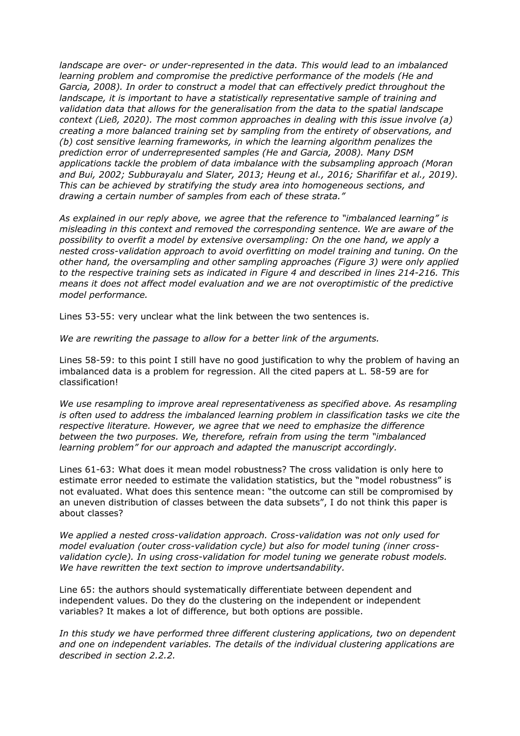*landscape are over- or under-represented in the data. This would lead to an imbalanced learning problem and compromise the predictive performance of the models (He and Garcia, 2008). In order to construct a model that can effectively predict throughout the landscape, it is important to have a statistically representative sample of training and validation data that allows for the generalisation from the data to the spatial landscape context (Ließ, 2020). The most common approaches in dealing with this issue involve (a) creating a more balanced training set by sampling from the entirety of observations, and (b) cost sensitive learning frameworks, in which the learning algorithm penalizes the prediction error of underrepresented samples (He and Garcia, 2008). Many DSM applications tackle the problem of data imbalance with the subsampling approach (Moran and Bui, 2002; Subburayalu and Slater, 2013; Heung et al., 2016; Sharififar et al., 2019). This can be achieved by stratifying the study area into homogeneous sections, and drawing a certain number of samples from each of these strata."*

*As explained in our reply above, we agree that the reference to "imbalanced learning" is misleading in this context and removed the corresponding sentence. We are aware of the possibility to overfit a model by extensive oversampling: On the one hand, we apply a nested cross-validation approach to avoid overfitting on model training and tuning. On the other hand, the oversampling and other sampling approaches (Figure 3) were only applied to the respective training sets as indicated in Figure 4 and described in lines 214-216. This means it does not affect model evaluation and we are not overoptimistic of the predictive model performance.*

Lines 53-55: very unclear what the link between the two sentences is.

*We are rewriting the passage to allow for a better link of the arguments.*

Lines 58-59: to this point I still have no good justification to why the problem of having an imbalanced data is a problem for regression. All the cited papers at L. 58-59 are for classification!

*We use resampling to improve areal representativeness as specified above. As resampling is often used to address the imbalanced learning problem in classification tasks we cite the respective literature. However, we agree that we need to emphasize the difference between the two purposes. We, therefore, refrain from using the term "imbalanced learning problem" for our approach and adapted the manuscript accordingly.*

Lines 61-63: What does it mean model robustness? The cross validation is only here to estimate error needed to estimate the validation statistics, but the "model robustness" is not evaluated. What does this sentence mean: "the outcome can still be compromised by an uneven distribution of classes between the data subsets", I do not think this paper is about classes?

*We applied a nested cross-validation approach. Cross-validation was not only used for model evaluation (outer cross-validation cycle) but also for model tuning (inner crossvalidation cycle). In using cross-validation for model tuning we generate robust models. We have rewritten the text section to improve undertsandability.*

Line 65: the authors should systematically differentiate between dependent and independent values. Do they do the clustering on the independent or independent variables? It makes a lot of difference, but both options are possible.

*In this study we have performed three different clustering applications, two on dependent and one on independent variables. The details of the individual clustering applications are described in section 2.2.2.*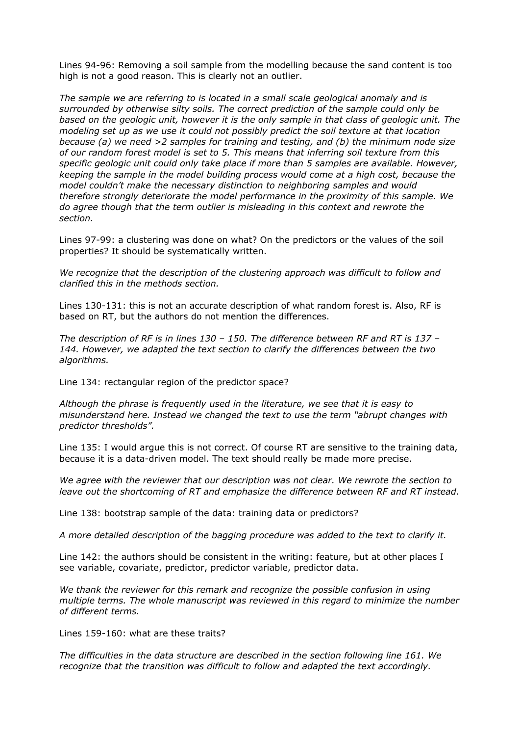Lines 94-96: Removing a soil sample from the modelling because the sand content is too high is not a good reason. This is clearly not an outlier.

*The sample we are referring to is located in a small scale geological anomaly and is surrounded by otherwise silty soils. The correct prediction of the sample could only be based on the geologic unit, however it is the only sample in that class of geologic unit. The modeling set up as we use it could not possibly predict the soil texture at that location because (a) we need >2 samples for training and testing, and (b) the minimum node size of our random forest model is set to 5. This means that inferring soil texture from this specific geologic unit could only take place if more than 5 samples are available. However, keeping the sample in the model building process would come at a high cost, because the model couldn't make the necessary distinction to neighboring samples and would therefore strongly deteriorate the model performance in the proximity of this sample. We do agree though that the term outlier is misleading in this context and rewrote the section.*

Lines 97-99: a clustering was done on what? On the predictors or the values of the soil properties? It should be systematically written.

*We recognize that the description of the clustering approach was difficult to follow and clarified this in the methods section.*

Lines 130-131: this is not an accurate description of what random forest is. Also, RF is based on RT, but the authors do not mention the differences.

*The description of RF is in lines 130 – 150. The difference between RF and RT is 137 – 144. However, we adapted the text section to clarify the differences between the two algorithms.*

Line 134: rectangular region of the predictor space?

*Although the phrase is frequently used in the literature, we see that it is easy to misunderstand here. Instead we changed the text to use the term "abrupt changes with predictor thresholds".*

Line 135: I would argue this is not correct. Of course RT are sensitive to the training data, because it is a data-driven model. The text should really be made more precise.

*We agree with the reviewer that our description was not clear. We rewrote the section to leave out the shortcoming of RT and emphasize the difference between RF and RT instead.*

Line 138: bootstrap sample of the data: training data or predictors?

*A more detailed description of the bagging procedure was added to the text to clarify it.*

Line 142: the authors should be consistent in the writing: feature, but at other places I see variable, covariate, predictor, predictor variable, predictor data.

*We thank the reviewer for this remark and recognize the possible confusion in using multiple terms. The whole manuscript was reviewed in this regard to minimize the number of different terms.*

Lines 159-160: what are these traits?

*The difficulties in the data structure are described in the section following line 161. We recognize that the transition was difficult to follow and adapted the text accordingly.*